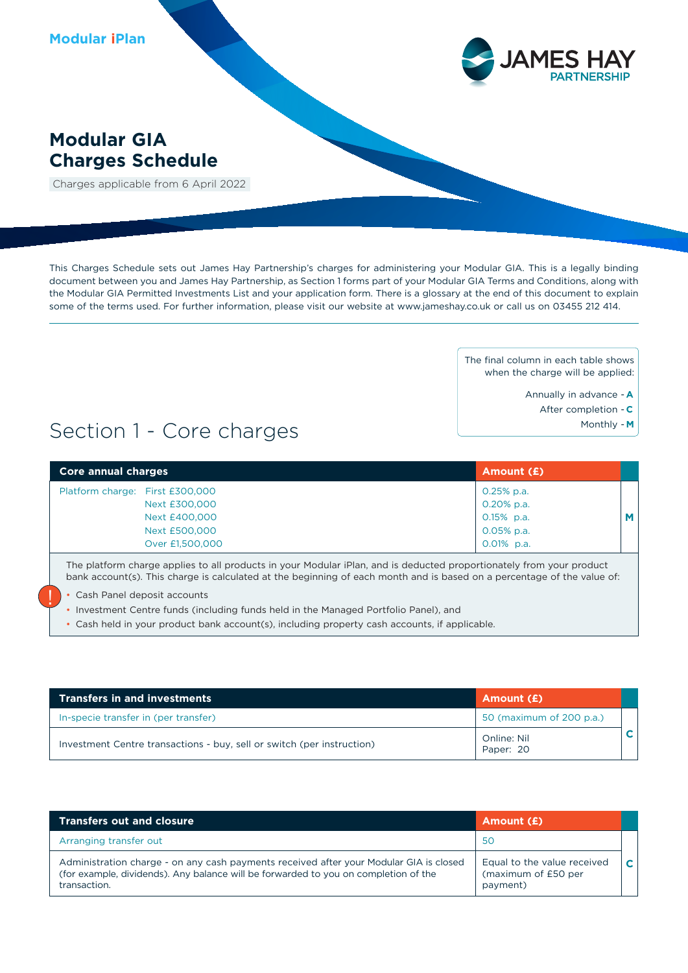

## **Modular GIA Charges Schedule**

Charges applicable from 6 April 2022

This Charges Schedule sets out James Hay Partnership's charges for administering your Modular GIA. This is a legally binding document between you and James Hay Partnership, as Section 1 forms part of your Modular GIA Terms and Conditions, along with the Modular GIA Permitted Investments List and your application form. There is a glossary at the end of this document to explain some of the terms used. For further information, please visit our website at www.jameshay.co.uk or call us on 03455 212 414.

> The final column in each table shows when the charge will be applied:

- Annually in advance **A**
	- After completion **C**
		- Monthly **M**

# Section 1 - Core charges

| Core annual charges             | Amount (£)    |   |
|---------------------------------|---------------|---|
| Platform charge: First £300,000 | $0.25%$ p.a.  |   |
| Next £300,000                   | 0.20% p.a.    |   |
| Next £400,000                   | $0.15\%$ p.a. | M |
| Next £500,000                   | $0.05%$ p.a.  |   |
| Over £1,500,000                 | $0.01\%$ p.a. |   |

The platform charge applies to all products in your Modular iPlan, and is deducted proportionately from your product bank account(s). This charge is calculated at the beginning of each month and is based on a percentage of the value of:

• Cash Panel deposit accounts

!<br>!

- Investment Centre funds (including funds held in the Managed Portfolio Panel), and
- Cash held in your product bank account(s), including property cash accounts, if applicable.

| <b>Transfers in and investments</b>                                    | Amount (£)               |  |
|------------------------------------------------------------------------|--------------------------|--|
| In-specie transfer in (per transfer)                                   | 50 (maximum of 200 p.a.) |  |
| Investment Centre transactions - buy, sell or switch (per instruction) | Online: Nil<br>Paper: 20 |  |

| <b>Transfers out and closure</b>                                                                                                                                                              | Amount (£)                                                     |              |
|-----------------------------------------------------------------------------------------------------------------------------------------------------------------------------------------------|----------------------------------------------------------------|--------------|
| Arranging transfer out                                                                                                                                                                        | 50                                                             |              |
| Administration charge - on any cash payments received after your Modular GIA is closed<br>(for example, dividends). Any balance will be forwarded to you on completion of the<br>transaction. | Equal to the value received<br>(maximum of £50 per<br>payment) | $\mathbf{C}$ |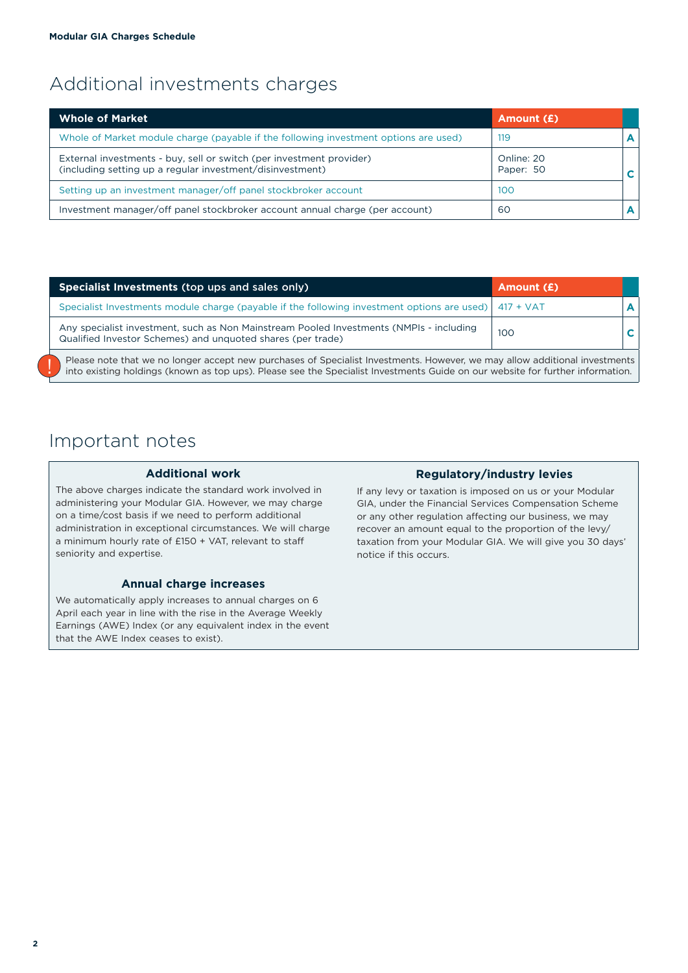# Additional investments charges

| <b>Whole of Market</b>                                                                                                            | Amount (£)              |  |
|-----------------------------------------------------------------------------------------------------------------------------------|-------------------------|--|
| Whole of Market module charge (payable if the following investment options are used)                                              | 119                     |  |
| External investments - buy, sell or switch (per investment provider)<br>(including setting up a regular investment/disinvestment) | Online: 20<br>Paper: 50 |  |
| Setting up an investment manager/off panel stockbroker account                                                                    | 100                     |  |
| Investment manager/off panel stockbroker account annual charge (per account)                                                      | 60                      |  |

| <b>Specialist Investments (top ups and sales only)</b>                                                                                                 | Amount (£) |   |
|--------------------------------------------------------------------------------------------------------------------------------------------------------|------------|---|
| Specialist Investments module charge (payable if the following investment options are used)   417 + VAT                                                |            | A |
| Any specialist investment, such as Non Mainstream Pooled Investments (NMPIs - including<br>Qualified Investor Schemes) and unquoted shares (per trade) | 100        |   |

Please note that we no longer accept new purchases of Specialist Investments. However, we may allow additional investments into existing holdings (known as top ups). Please see the Specialist Investments Guide on our websi

# Important notes

#### **Additional work**

The above charges indicate the standard work involved in administering your Modular GIA. However, we may charge on a time/cost basis if we need to perform additional administration in exceptional circumstances. We will charge a minimum hourly rate of £150 + VAT, relevant to staff seniority and expertise.

### **Annual charge increases**

We automatically apply increases to annual charges on 6 April each year in line with the rise in the Average Weekly Earnings (AWE) Index (or any equivalent index in the event that the AWE Index ceases to exist).

### **Regulatory/industry levies**

If any levy or taxation is imposed on us or your Modular GIA, under the Financial Services Compensation Scheme or any other regulation affecting our business, we may recover an amount equal to the proportion of the levy/ taxation from your Modular GIA. We will give you 30 days' notice if this occurs.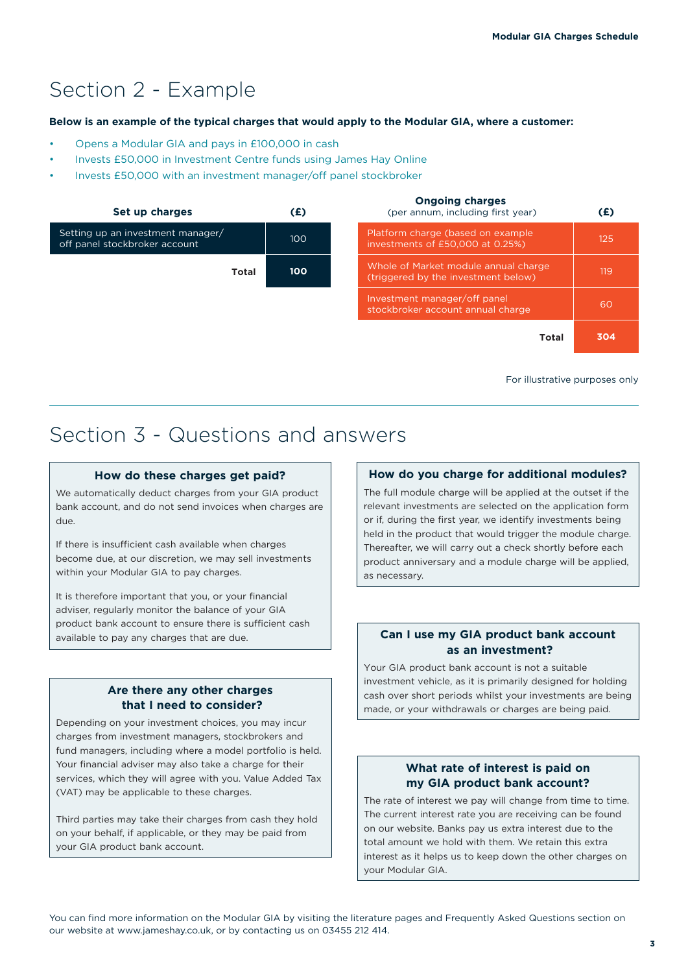# Section 2 - Example

#### **Below is an example of the typical charges that would apply to the Modular GIA, where a customer:**

- Opens a Modular GIA and pays in £100,000 in cash
- Invests £50,000 in Investment Centre funds using James Hay Online
- Invests £50,000 with an investment manager/off panel stockbroker



For illustrative purposes only

# Section 3 - Questions and answers

#### **How do these charges get paid?**

We automatically deduct charges from your GIA product bank account, and do not send invoices when charges are due.

If there is insufficient cash available when charges become due, at our discretion, we may sell investments within your Modular GIA to pay charges.

It is therefore important that you, or your financial adviser, regularly monitor the balance of your GIA product bank account to ensure there is sufficient cash available to pay any charges that are due.

## **Are there any other charges that I need to consider?**

Depending on your investment choices, you may incur charges from investment managers, stockbrokers and fund managers, including where a model portfolio is held. Your financial adviser may also take a charge for their services, which they will agree with you. Value Added Tax (VAT) may be applicable to these charges.

Third parties may take their charges from cash they hold on your behalf, if applicable, or they may be paid from your GIA product bank account.

### **How do you charge for additional modules?**

The full module charge will be applied at the outset if the relevant investments are selected on the application form or if, during the first year, we identify investments being held in the product that would trigger the module charge. Thereafter, we will carry out a check shortly before each product anniversary and a module charge will be applied, as necessary.

### **Can I use my GIA product bank account as an investment?**

Your GIA product bank account is not a suitable investment vehicle, as it is primarily designed for holding cash over short periods whilst your investments are being made, or your withdrawals or charges are being paid.

### **What rate of interest is paid on my GIA product bank account?**

The rate of interest we pay will change from time to time. The current interest rate you are receiving can be found on our website. Banks pay us extra interest due to the total amount we hold with them. We retain this extra interest as it helps us to keep down the other charges on your Modular GIA.